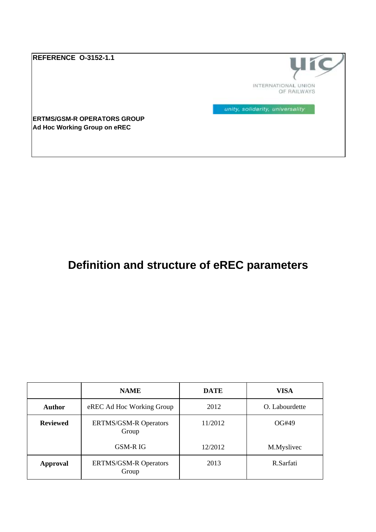**REFERENCE O-3152-1.1**



unity, solidarity, universality

**ERTMS/GSM-R OPERATORS GROUP Ad Hoc Working Group on eREC** 

# **Definition and structure of eREC parameters**

|                 | <b>NAME</b>                                      | <b>DATE</b> | <b>VISA</b>    |
|-----------------|--------------------------------------------------|-------------|----------------|
| <b>Author</b>   | eREC Ad Hoc Working Group                        | 2012        | O. Labourdette |
| <b>Reviewed</b> | 11/2012<br><b>ERTMS/GSM-R Operators</b><br>Group |             | OG#49          |
|                 | GSM-R IG                                         | 12/2012     | M.Myslivec     |
| <b>Approval</b> | <b>ERTMS/GSM-R Operators</b><br>Group            | 2013        | R.Sarfati      |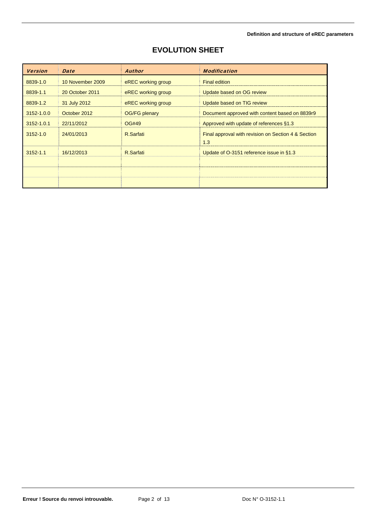| <b>Version</b> | <b>Date</b>      | <b>Author</b>        | <b>Modification</b>                                        |
|----------------|------------------|----------------------|------------------------------------------------------------|
| 8839-1.0       | 10 November 2009 | eREC working group   | <b>Final edition</b>                                       |
| 8839-1.1       | 20 October 2011  | eREC working group   | Update based on OG review                                  |
| 8839-1.2       | 31 July 2012     | eREC working group   | Update based on TIG review                                 |
| 3152-1.0.0     | October 2012     | <b>OG/FG plenary</b> | Document approved with content based on 8839r9             |
| 3152-1.0.1     | 22/11/2012       | OG#49                | Approved with update of references §1.3                    |
| $3152 - 1.0$   | 24/01/2013       | R.Sarfati            | Final approval with revision on Section 4 & Section<br>1.3 |
| $3152 - 1.1$   | 16/12/2013       | R.Sarfati            | Update of O-3151 reference issue in §1.3                   |
|                |                  |                      |                                                            |
|                |                  |                      |                                                            |
|                |                  |                      |                                                            |

### **EVOLUTION SHEET**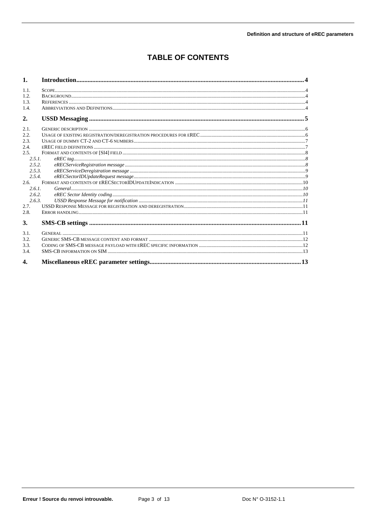### **TABLE OF CONTENTS**

| 1.           |                                                            |  |  |
|--------------|------------------------------------------------------------|--|--|
| 1.1.         |                                                            |  |  |
| 1.2          |                                                            |  |  |
| 1.3.         |                                                            |  |  |
| 1.4.         |                                                            |  |  |
| 2.           |                                                            |  |  |
| 2.1.         |                                                            |  |  |
| 2.2.         |                                                            |  |  |
| 2.3.         |                                                            |  |  |
| 2.4.         |                                                            |  |  |
| 2.5          |                                                            |  |  |
| 2.5.1.       |                                                            |  |  |
| 2.5.2        |                                                            |  |  |
| 2.5.3.       |                                                            |  |  |
| 2.5.4.       |                                                            |  |  |
| $2.6 -$      |                                                            |  |  |
| 2.6.1.       |                                                            |  |  |
| 2.6.2.       |                                                            |  |  |
| 2.6.3.       | $\emph{USSD Response Message for notification …} \emph{1}$ |  |  |
| 2.7.         |                                                            |  |  |
| 2.8.         |                                                            |  |  |
| 3.           |                                                            |  |  |
| 3.1.         |                                                            |  |  |
| 3.2.         |                                                            |  |  |
| 3.3.         |                                                            |  |  |
| 3.4.         |                                                            |  |  |
| $\mathbf{4}$ |                                                            |  |  |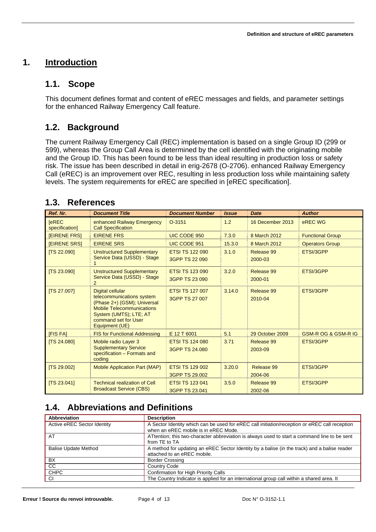### **1. Introduction**

### **1.1. Scope**

This document defines format and content of eREC messages and fields, and parameter settings for the enhanced Railway Emergency Call feature.

## **1.2. Background**

The current Railway Emergency Call (REC) implementation is based on a single Group ID (299 or 599), whereas the Group Call Area is determined by the cell identified with the originating mobile and the Group ID. This has been found to be less than ideal resulting in production loss or safety risk. The issue has been described in detail in erig-2678 (O-2706). enhanced Railway Emergency Call (eREC) is an improvement over REC, resulting in less production loss while maintaining safety levels. The system requirements for eREC are specified in [eREC specification].

### **1.3. References**

| Ref. Nr.                       | <b>Document Title</b>                                                                                                                                                                       | <b>Document Number</b>                   | <b>Issue</b> | <b>Date</b>           | <b>Author</b>                  |
|--------------------------------|---------------------------------------------------------------------------------------------------------------------------------------------------------------------------------------------|------------------------------------------|--------------|-----------------------|--------------------------------|
| <b>TeREC</b><br>specification] | enhanced Railway Emergency<br><b>Call Specification</b>                                                                                                                                     | $O-3151$                                 | 1.2          | 16 December 2013      | eREC WG                        |
| <b>IEIRENE FRSI</b>            | <b>EIRENE FRS</b>                                                                                                                                                                           | UIC CODE 950                             | 7.3.0        | 8 March 2012          | <b>Functional Group</b>        |
| <b>IEIRENE SRSI</b>            | <b>EIRENE SRS</b>                                                                                                                                                                           | UIC CODE 951                             | 15.3.0       | 8 March 2012          | <b>Operators Group</b>         |
| <b>ITS 22.0901</b>             | <b>Unstructured Supplementary</b><br>Service Data (USSD) - Stage                                                                                                                            | <b>ETSI TS 122 090</b><br>3GPP TS 22 090 | 3.1.0        | Release 99<br>2000-03 | ETSI/3GPP                      |
| [TS 23.090]                    | <b>Unstructured Supplementary</b><br>Service Data (USSD) - Stage<br>$\mathcal{P}$                                                                                                           | <b>ETSI TS 123 090</b><br>3GPP TS 23 090 | 3.2.0        | Release 99<br>2000-01 | ETSI/3GPP                      |
| [TS 27.007]                    | <b>Digital cellular</b><br>telecommunications system<br>(Phase 2+) (GSM); Universal<br><b>Mobile Telecommunications</b><br>System (UMTS); LTE; AT<br>command set for User<br>Equipment (UE) | <b>ETSI TS 127 007</b><br>3GPP TS 27 007 | 3.14.0       | Release 99<br>2010-04 | ETSI/3GPP                      |
| <b>IFIS FAI</b>                | <b>FIS for Functional Addressing</b>                                                                                                                                                        | E 12 T 6001                              | 5.1          | 29 October 2009       | <b>GSM-R OG &amp; GSM-R IG</b> |
| [TS 24.080]                    | Mobile radio Layer 3<br><b>Supplementary Service</b><br>specification - Formats and<br>coding                                                                                               | <b>ETSI TS 124 080</b><br>3GPP TS 24.080 | 3.71         | Release 99<br>2003-09 | ETSI/3GPP                      |
| [TS 29.002]                    | <b>Mobile Application Part (MAP)</b>                                                                                                                                                        | <b>ETSI TS 129 002</b><br>3GPP TS 29.002 | 3.20.0       | Release 99<br>2004-06 | ETSI/3GPP                      |
| [TS 23.041]                    | <b>Technical realization of Cell</b><br><b>Broadcast Service (CBS)</b>                                                                                                                      | <b>ETSI TS 123 041</b><br>3GPP TS 23.041 | 3.5.0        | Release 99<br>2002-06 | ETSI/3GPP                      |

## **1.4. Abbreviations and Definitions**

| Abbreviation                | <b>Description</b>                                                                                                                    |
|-----------------------------|---------------------------------------------------------------------------------------------------------------------------------------|
| Active eREC Sector Identity | A Sector Identity which can be used for eREC call initiation/reception or eREC call reception<br>when an eREC mobile is in eREC Mode. |
| AT                          | ATtention; this two-character abbreviation is always used to start a command line to be sent<br>from TE to TA                         |
| <b>Balise Update Method</b> | A method for updating an eREC Sector Identity by a balise (in the track) and a balise reader<br>attached to an eREC mobile.           |
| BX                          | <b>Border Crossing</b>                                                                                                                |
| CC                          | <b>Country Code</b>                                                                                                                   |
| <b>CHPC</b>                 | Confirmation for High Priority Calls                                                                                                  |
| CI                          | The Country Indicator is applied for an international group call within a shared area. It                                             |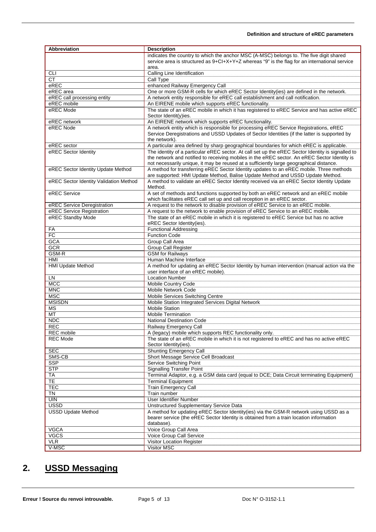#### **Definition and structure of eREC parameters**

| <b>Abbreviation</b>                    | <b>Description</b>                                                                                        |  |
|----------------------------------------|-----------------------------------------------------------------------------------------------------------|--|
|                                        | indicates the country to which the anchor MSC (A-MSC) belongs to. The five digit shared                   |  |
|                                        | service area is structured as 9+Cl+X+Y+Z whereas "9" is the flag for an international service             |  |
|                                        | area.                                                                                                     |  |
| CLI                                    | Calling Line Identification                                                                               |  |
| <b>CT</b>                              | Call Type                                                                                                 |  |
| eREC                                   | enhanced Railway Emergency Call                                                                           |  |
| eREC area                              | One or more GSM-R cells for which eREC Sector Identity(ies) are defined in the network.                   |  |
| eREC call processing entity            | A network entity responsible for eREC call establishment and call notification.                           |  |
| eREC mobile                            | An EIRENE mobile which supports eREC functionality.                                                       |  |
| eREC Mode                              | The state of an eREC mobile in which it has registered to eREC Service and has active eREC                |  |
|                                        | Sector Identit(y)ies.                                                                                     |  |
| eREC network                           | An EIRENE network which supports eREC functionality.                                                      |  |
| eREC Node                              | A network entity which is responsible for processing eREC Service Registrations, eREC                     |  |
|                                        | Service Deregistrations and USSD Updates of Sector Identities (if the latter is supported by              |  |
| eREC sector                            | the network).<br>A particular area defined by sharp geographical boundaries for which eREC is applicable. |  |
| eREC Sector Identity                   | The identity of a particular eREC sector. At call set up the eREC Sector Identity is signalled to         |  |
|                                        | the network and notified to receiving mobiles in the eREC sector. An eREC Sector Identity is              |  |
|                                        | not necessarily unique, it may be reused at a sufficiently large geographical distance.                   |  |
| eREC Sector Identity Update Method     | A method for transferring eREC Sector Identity updates to an eREC mobile. Three methods                   |  |
|                                        | are supported: HMI Update Method, Balise Update Method and USSD Update Method.                            |  |
| eREC Sector Identity Validation Method | A method to validate an eREC Sector Identity received via an eREC Sector Identity Update                  |  |
|                                        | Method.                                                                                                   |  |
| eREC Service                           | A set of methods and functions supported by both an eREC network and an eREC mobile                       |  |
|                                        | which facilitates eREC call set up and call reception in an eREC sector.                                  |  |
| eREC Service Deregistration            | A request to the network to disable provision of eREC Service to an eREC mobile.                          |  |
| eREC Service Registration              | A request to the network to enable provision of eREC Service to an eREC mobile.                           |  |
| eREC Standby Mode                      | The state of an eREC mobile in which it is registered to eREC Service but has no active                   |  |
|                                        | eREC Sector Identity(ies).                                                                                |  |
| FA                                     | <b>Functional Addressing</b>                                                                              |  |
| <b>FC</b>                              | <b>Function Code</b>                                                                                      |  |
| <b>GCA</b>                             | Group Call Area                                                                                           |  |
| <b>GCR</b>                             | Group Call Register                                                                                       |  |
| GSM-R                                  | <b>GSM</b> for Railways                                                                                   |  |
| HMI                                    | Human Machine Interface                                                                                   |  |
| <b>HMI Update Method</b>               | A method for updating an eREC Sector Identity by human intervention (manual action via the                |  |
|                                        | user interface of an eREC mobile).                                                                        |  |
| LN<br><b>MCC</b>                       | <b>Location Number</b>                                                                                    |  |
| <b>MNC</b>                             | Mobile Country Code<br><b>Mobile Network Code</b>                                                         |  |
| <b>MSC</b>                             | Mobile Services Switching Centre                                                                          |  |
| <b>MSISDN</b>                          | Mobile Station Integrated Services Digital Network                                                        |  |
| МS                                     | <b>Mobile Station</b>                                                                                     |  |
| <b>MT</b>                              | <b>Mobile Termination</b>                                                                                 |  |
| <b>NDC</b>                             | <b>National Destination Code</b>                                                                          |  |
| <b>REC</b>                             | Railway Emergency Call                                                                                    |  |
| <b>REC</b> mobile                      | A (legacy) mobile which supports REC functionality only.                                                  |  |
| <b>REC Mode</b>                        | The state of an eREC mobile in which it is not registered to eREC and has no active eREC                  |  |
|                                        | Sector Identity(ies).                                                                                     |  |
| <b>SEC</b>                             | <b>Shunting Emergency Call</b>                                                                            |  |
| SMS-CB                                 | Short Message Service Cell Broadcast                                                                      |  |
| <b>SSP</b>                             | Service Switching Point                                                                                   |  |
| <b>STP</b>                             | <b>Signalling Transfer Point</b>                                                                          |  |
| <b>TA</b>                              | Terminal Adaptor, e.g. a GSM data card (equal to DCE; Data Circuit terminating Equipment)                 |  |
| <b>TE</b>                              | <b>Terminal Equipment</b>                                                                                 |  |
| <b>TEC</b>                             | Train Emergency Call                                                                                      |  |
| TN                                     | Train number                                                                                              |  |
| <b>UIN</b>                             | User Identifier Number                                                                                    |  |
| <b>USSD</b>                            | Unstructured Supplementary Service Data                                                                   |  |
| <b>USSD Update Method</b>              | A method for updating eREC Sector Identity(ies) via the GSM-R network using USSD as a                     |  |
|                                        | bearer service (the eREC Sector Identity is obtained from a train location information                    |  |
|                                        | database).                                                                                                |  |
| <b>VGCA</b>                            | Voice Group Call Area                                                                                     |  |
| <b>VGCS</b>                            | Voice Group Call Service                                                                                  |  |
| <b>VLR</b>                             | Visitor Location Register                                                                                 |  |
| V-MSC                                  | Visitor MSC                                                                                               |  |

## **2. USSD Messaging**

Erreur ! Source du renvoi introuvable. **Page 5 of 13** Doc N° O-3152-1.1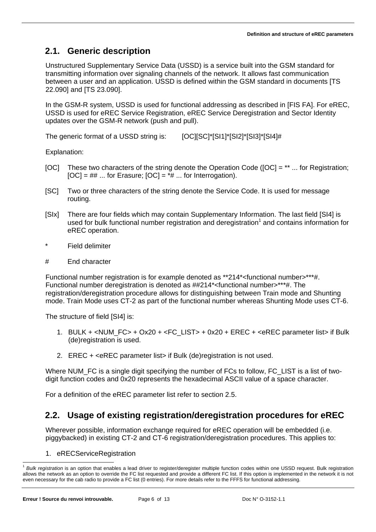## **2.1. Generic description**

Unstructured Supplementary Service Data (USSD) is a service built into the GSM standard for transmitting information over signaling channels of the network. It allows fast communication between a user and an application. USSD is defined within the GSM standard in documents [TS 22.090] and [TS 23.090].

In the GSM-R system, USSD is used for functional addressing as described in [FIS FA]. For eREC, USSD is used for eREC Service Registration, eREC Service Deregistration and Sector Identity updates over the GSM-R network (push and pull).

The generic format of a USSD string is: [OCI[SC]\*[SI1]\*[SI2]\*[SI3]\*[SI4]#

Explanation:

- [OC] These two characters of the string denote the Operation Code ([OC] = \*\* ... for Registration;  $[OC] = ## ...$  for Erasure;  $[OC] = *# ...$  for Interrogation).
- [SC] Two or three characters of the string denote the Service Code. It is used for message routing.
- [SIx] There are four fields which may contain Supplementary Information. The last field [SI4] is used for bulk functional number registration and deregistration<sup>1</sup> and contains information for eREC operation.
- \* Field delimiter
- # End character

Functional number registration is for example denoted as \*\*214\*<functional number>\*\*\*#. Functional number deregistration is denoted as ##214\*<functional number>\*\*\*#. The registration/deregistration procedure allows for distinguishing between Train mode and Shunting mode. Train Mode uses CT-2 as part of the functional number whereas Shunting Mode uses CT-6.

The structure of field [SI4] is:

- 1. BULK + <NUM\_FC> + Ox20 + <FC\_LIST> + 0x20 + EREC + <eREC parameter list> if Bulk (de)registration is used.
- 2. EREC + <eREC parameter list> if Bulk (de)registration is not used.

Where NUM FC is a single digit specifying the number of FCs to follow, FC LIST is a list of twodigit function codes and 0x20 represents the hexadecimal ASCII value of a space character.

For a definition of the eREC parameter list refer to section 2.5.

### **2.2. Usage of existing registration/deregistration procedures for eREC**

Wherever possible, information exchange required for eREC operation will be embedded (i.e. piggybacked) in existing CT-2 and CT-6 registration/deregistration procedures. This applies to:

<sup>1.</sup> eRECServiceRegistration

l <sup>1</sup> *Bulk registration* is an option that enables a lead driver to register/deregister multiple function codes within one USSD request. Bulk registration allows the network as an option to override the FC list requested and provide a different FC list. If this option is implemented in the network it is not even necessary for the cab radio to provide a FC list (0 entries). For more details refer to the FFFS for functional addressing.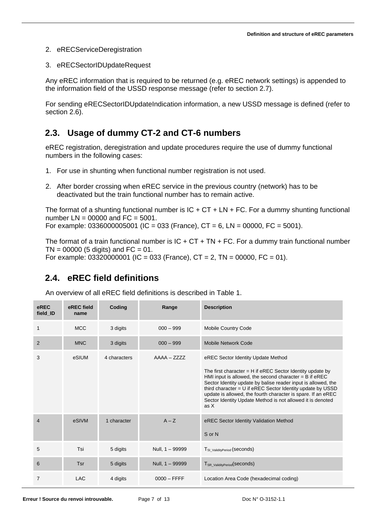- 2. eRECServiceDeregistration
- 3. eRECSectorIDUpdateRequest

Any eREC information that is required to be returned (e.g. eREC network settings) is appended to the information field of the USSD response message (refer to section 2.7).

For sending eRECSectorIDUpdateIndication information, a new USSD message is defined (refer to section 2.6).

### **2.3. Usage of dummy CT-2 and CT-6 numbers**

eREC registration, deregistration and update procedures require the use of dummy functional numbers in the following cases:

- 1. For use in shunting when functional number registration is not used.
- 2. After border crossing when eREC service in the previous country (network) has to be deactivated but the train functional number has to remain active.

The format of a shunting functional number is  $IC + CT + LN + FC$ . For a dummy shunting functional number  $LN = 00000$  and  $FC = 5001$ . For example: 0336000005001 (IC = 033 (France), CT = 6, LN = 00000, FC = 5001).

The format of a train functional number is  $IC + CT + TN + FC$ . For a dummy train functional number  $TN = 00000$  (5 digits) and  $FC = 01$ . For example:  $03320000001$  (IC = 033 (France), CT = 2, TN = 00000, FC = 01).

### **2.4. eREC field definitions**

An overview of all eREC field definitions is described in Table 1.

| eREC<br>field_ID | eREC field<br>name | Coding       | Range           | <b>Description</b>                                                                                                                                                                                                                                                                                                                                                                                                                 |
|------------------|--------------------|--------------|-----------------|------------------------------------------------------------------------------------------------------------------------------------------------------------------------------------------------------------------------------------------------------------------------------------------------------------------------------------------------------------------------------------------------------------------------------------|
| 1                | <b>MCC</b>         | 3 digits     | $000 - 999$     | Mobile Country Code                                                                                                                                                                                                                                                                                                                                                                                                                |
| $\overline{2}$   | <b>MNC</b>         | 3 digits     | $000 - 999$     | <b>Mobile Network Code</b>                                                                                                                                                                                                                                                                                                                                                                                                         |
| 3                | eSIUM              | 4 characters | $AAAA - ZZZZ$   | eREC Sector Identity Update Method<br>The first character $=$ H if eREC Sector Identity update by<br>HMI input is allowed, the second character $=$ B if eREC<br>Sector Identity update by balise reader input is allowed, the<br>third character = U if eREC Sector Identity update by USSD<br>update is allowed, the fourth character is spare. If an eREC<br>Sector Identity Update Method is not allowed it is denoted<br>as X |
| $\overline{4}$   | eSIVM              | 1 character  | $A - Z$         | eREC Sector Identity Validation Method<br>S or N                                                                                                                                                                                                                                                                                                                                                                                   |
| 5                | Tsi                | 5 digits     | Null, 1 - 99999 | T <sub>SI_ValidityPeriod</sub> (seconds)                                                                                                                                                                                                                                                                                                                                                                                           |
| 6                | Tsr                | 5 digits     | Null, 1 - 99999 | T <sub>SR ValidityPeriod</sub> (Seconds)                                                                                                                                                                                                                                                                                                                                                                                           |
| $\overline{7}$   | <b>LAC</b>         | 4 digits     | $0000 - FFFF$   | Location Area Code (hexadecimal coding)                                                                                                                                                                                                                                                                                                                                                                                            |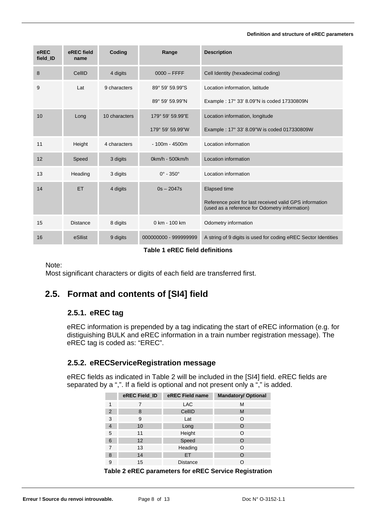#### **Definition and structure of eREC parameters**

| eREC<br>field ID | eREC field<br>name | <b>Coding</b> | Range                        | <b>Description</b>                                                                                        |
|------------------|--------------------|---------------|------------------------------|-----------------------------------------------------------------------------------------------------------|
| 8                | CellID             | 4 digits      | $0000 - FFFF$                | Cell Identity (hexadecimal coding)                                                                        |
| 9                | Lat                | 9 characters  | 89° 59' 59.99"S              | Location information, latitude                                                                            |
|                  |                    |               | 89° 59' 59.99"N              | Example: 17° 33' 8.09"N is coded 17330809N                                                                |
| 10               | Long               | 10 characters | 179° 59' 59.99"E             | Location information, longitude                                                                           |
|                  |                    |               | 179° 59' 59.99"W             | Example: 17° 33' 8.09"W is coded 017330809W                                                               |
| 11               | Height             | 4 characters  | $-100m - 4500m$              | Location information                                                                                      |
| 12               | Speed              | 3 digits      | 0km/h - 500km/h              | Location information                                                                                      |
| 13               | Heading            | 3 digits      | $0^{\circ}$ - 350 $^{\circ}$ | Location information                                                                                      |
| 14               | <b>ET</b>          | 4 digits      | $0s - 2047s$                 | <b>Elapsed time</b>                                                                                       |
|                  |                    |               |                              | Reference point for last received valid GPS information<br>(used as a reference for Odometry information) |
| 15               | <b>Distance</b>    | 8 digits      | 0 km - 100 km                | Odometry information                                                                                      |
| 16               | eSllist            | 9 digits      | 000000000 - 999999999        | A string of 9 digits is used for coding eREC Sector Identities                                            |

**Table 1 eREC field definitions** 

Note:

Most significant characters or digits of each field are transferred first.

## **2.5. Format and contents of [SI4] field**

#### **2.5.1. eREC tag**

eREC information is prepended by a tag indicating the start of eREC information (e.g. for distiguishing BULK and eREC information in a train number registration message). The eREC tag is coded as: "EREC".

#### **2.5.2. eRECServiceRegistration message**

eREC fields as indicated in Table 2 will be included in the [SI4] field. eREC fields are separated by a ",". If a field is optional and not present only a "," is added.

| eREC Field_ID | eREC Field name | <b>Mandatory/ Optional</b> |
|---------------|-----------------|----------------------------|
|               | <b>LAC</b>      | М                          |
| 8             | CellID          | M                          |
| 9             | Lat             | O                          |
| 10            | Long            | $\Omega$                   |
| 11            | Height          | O                          |
| 12            | Speed           | $\Omega$                   |
| 13            | Heading         | O                          |
| 14            | <b>ET</b>       | O                          |
| 15            | <b>Distance</b> |                            |
|               |                 |                            |

**Table 2 eREC parameters for eREC Service Registration**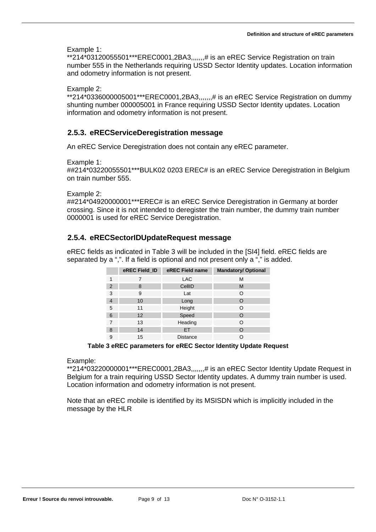Example 1:

\*\*214\*03120055501\*\*\*EREC0001,2BA3,,,,,,,# is an eREC Service Registration on train number 555 in the Netherlands requiring USSD Sector Identity updates. Location information and odometry information is not present.

#### Example 2:

\*\*214\*0336000005001\*\*\*EREC0001,2BA3,,,,,,,# is an eREC Service Registration on dummy shunting number 000005001 in France requiring USSD Sector Identity updates. Location information and odometry information is not present.

#### **2.5.3. eRECServiceDeregistration message**

An eREC Service Deregistration does not contain any eREC parameter.

Example 1:

##214\*03220055501\*\*\*BULK02 0203 EREC# is an eREC Service Deregistration in Belgium on train number 555.

Example 2:

##214\*04920000001\*\*\*EREC# is an eREC Service Deregistration in Germany at border crossing. Since it is not intended to deregister the train number, the dummy train number 0000001 is used for eREC Service Deregistration.

#### **2.5.4. eRECSectorIDUpdateRequest message**

eREC fields as indicated in Table 3 will be included in the [SI4] field. eREC fields are separated by a ",". If a field is optional and not present only a "," is added.

|                | eREC Field ID | eREC Field name | <b>Mandatory/ Optional</b> |
|----------------|---------------|-----------------|----------------------------|
| 1              | 7             | LAC.            | М                          |
| 2              | 8             | CellID          | M                          |
| 3              | 9             | Lat             | Ω                          |
| $\overline{4}$ | 10            | Long            | Ω                          |
| 5              | 11            | Height          | Ω                          |
| 6              | 12            | Speed           | O                          |
| 7              | 13            | Heading         | ∩                          |
| 8              | 14            | ET              | Ω                          |
| 9              | 15            | <b>Distance</b> | O                          |

**Table 3 eREC parameters for eREC Sector Identity Update Request** 

Example:

\*\*214\*03220000001\*\*\*EREC0001,2BA3,,,,,,,# is an eREC Sector Identity Update Request in Belgium for a train requiring USSD Sector Identity updates. A dummy train number is used. Location information and odometry information is not present.

Note that an eREC mobile is identified by its MSISDN which is implicitly included in the message by the HLR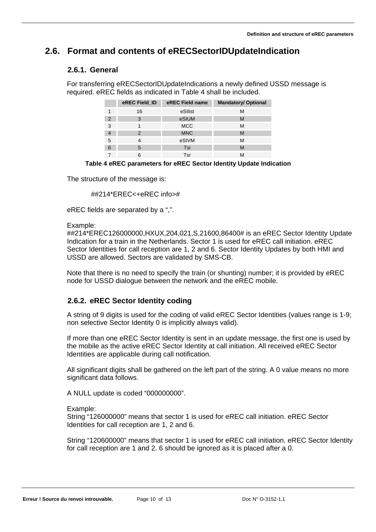## **2.6. Format and contents of eRECSectorIDUpdateIndication**

#### **2.6.1. General**

For transferring eRECSectorIDUpdateIndications a newly defined USSD message is required. eREC fields as indicated in Table 4 shall be included.

|               | eREC Field_ID | eREC Field name | <b>Mandatory/ Optional</b> |
|---------------|---------------|-----------------|----------------------------|
|               | 16            | eSllist         | М                          |
| $\mathcal{P}$ | 3             | eSIUM           | M                          |
| 3             |               | <b>MCC</b>      | М                          |
|               |               | <b>MNC</b>      | M                          |
| 5             |               | eSIVM           | М                          |
| 6             | 5             | Tsi             | M                          |
|               | 6             | Tsr             | м                          |

#### **Table 4 eREC parameters for eREC Sector Identity Update Indication**

The structure of the message is:

##214\*EREC<+eREC info>#

eREC fields are separated by a ",".

Example:

##214\*EREC126000000,HXUX,204,021,S,21600,86400# is an eREC Sector Identity Update Indication for a train in the Netherlands. Sector 1 is used for eREC call initiation. eREC Sector Identities for call reception are 1, 2 and 6. Sector Identity Updates by both HMI and USSD are allowed. Sectors are validated by SMS-CB.

Note that there is no need to specify the train (or shunting) number; it is provided by eREC node for USSD dialogue between the network and the eREC mobile.

#### **2.6.2. eREC Sector Identity coding**

A string of 9 digits is used for the coding of valid eREC Sector Identities (values range is 1-9; non selective Sector Identity 0 is implicitly always valid).

If more than one eREC Sector Identity is sent in an update message, the first one is used by the mobile as the active eREC Sector Identity at call initiation. All received eREC Sector Identities are applicable during call notification.

All significant digits shall be gathered on the left part of the string. A 0 value means no more significant data follows.

A NULL update is coded "000000000".

Example:

String "126000000" means that sector 1 is used for eREC call initiation. eREC Sector Identities for call reception are 1, 2 and 6.

String "120600000" means that sector 1 is used for eREC call initiation. eREC Sector Identity for call reception are 1 and 2. 6 should be ignored as it is placed after a 0.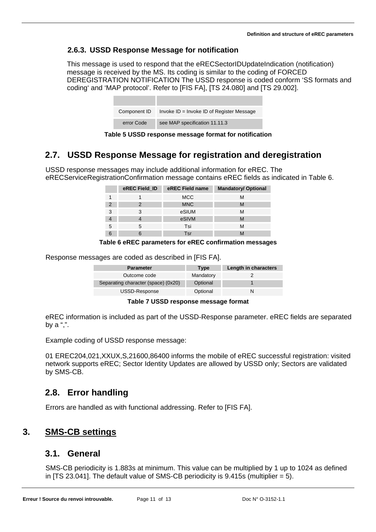### **2.6.3. USSD Response Message for notification**

This message is used to respond that the eRECSectorIDUpdateIndication (notification) message is received by the MS. Its coding is similar to the coding of FORCED DEREGISTRATION NOTIFICATION The USSD response is coded conform 'SS formats and coding' and 'MAP protocol'. Refer to [FIS FA], [TS 24.080] and [TS 29.002].

| Component ID | Invoke $ID = Invoke ID of Register Message$ |
|--------------|---------------------------------------------|
| error Code   | see MAP specification 11.11.3               |

**Table 5 USSD response message format for notification** 

### **2.7. USSD Response Message for registration and deregistration**

USSD response messages may include additional information for eREC. The eRECServiceRegistrationConfirmation message contains eREC fields as indicated in Table 6.

|   | eREC Field_ID | eREC Field name | <b>Mandatory/ Optional</b> |
|---|---------------|-----------------|----------------------------|
|   |               | <b>MCC</b>      |                            |
| 2 |               | <b>MNC</b>      | M                          |
| 3 |               | eSIUM           |                            |
|   |               | eSIVM           |                            |
| 5 |               | Tsi             | М                          |
|   |               | Tsr             |                            |

#### **Table 6 eREC parameters for eREC confirmation messages**

Response messages are coded as described in [FIS FA].

| <b>Parameter</b>                    | <b>Type</b> | Length in characters |
|-------------------------------------|-------------|----------------------|
| Outcome code                        | Mandatory   |                      |
| Separating character (space) (0x20) | Optional    |                      |
| USSD-Response                       | Optional    |                      |

**Table 7 USSD response message format** 

eREC information is included as part of the USSD-Response parameter. eREC fields are separated by a ",".

Example coding of USSD response message:

01 EREC204,021,XXUX,S,21600,86400 informs the mobile of eREC successful registration: visited network supports eREC; Sector Identity Updates are allowed by USSD only; Sectors are validated by SMS-CB.

### **2.8. Error handling**

Errors are handled as with functional addressing. Refer to [FIS FA].

### **3. SMS-CB settings**

### **3.1. General**

SMS-CB periodicity is 1.883s at minimum. This value can be multiplied by 1 up to 1024 as defined in  $[TS 23.041]$ . The default value of SMS-CB periodicity is 9.415s (multiplier = 5).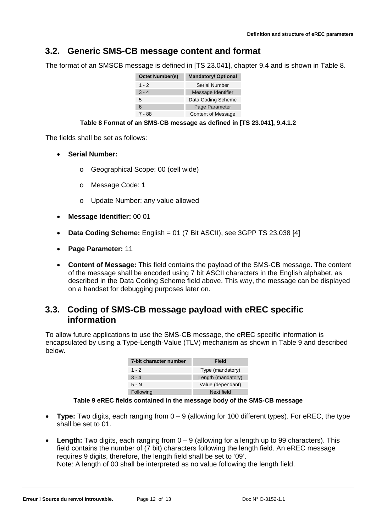### **3.2. Generic SMS-CB message content and format**

The format of an SMSCB message is defined in [TS 23.041], chapter 9.4 and is shown in Table 8.

| <b>Octet Number(s)</b> | <b>Mandatory/ Optional</b> |  |  |
|------------------------|----------------------------|--|--|
| 1 - 2                  | Serial Number              |  |  |
| $3 - 4$                | Message Identifier         |  |  |
| 5                      | Data Coding Scheme         |  |  |
| 6                      | Page Parameter             |  |  |
| 7 - 88                 | <b>Content of Message</b>  |  |  |

#### **Table 8 Format of an SMS-CB message as defined in [TS 23.041], 9.4.1.2**

The fields shall be set as follows:

- **Serial Number:** 
	- o Geographical Scope: 00 (cell wide)
	- o Message Code: 1
	- o Update Number: any value allowed
- **Message Identifier:** 00 01
- **Data Coding Scheme:** English = 01 (7 Bit ASCII), see 3GPP TS 23.038 [4]
- **Page Parameter:** 11
- **Content of Message:** This field contains the payload of the SMS-CB message. The content of the message shall be encoded using 7 bit ASCII characters in the English alphabet, as described in the Data Coding Scheme field above. This way, the message can be displayed on a handset for debugging purposes later on.

### **3.3. Coding of SMS-CB message payload with eREC specific information**

To allow future applications to use the SMS-CB message, the eREC specific information is encapsulated by using a Type-Length-Value (TLV) mechanism as shown in Table 9 and described below.

| 7-bit character number | Field              |
|------------------------|--------------------|
| $1 - 2$                | Type (mandatory)   |
| $3 - 4$                | Length (mandatory) |
| $5 - N$                | Value (dependant)  |
| Following              | Next field         |

#### **Table 9 eREC fields contained in the message body of the SMS-CB message**

- **Type:** Two digits, each ranging from 0 9 (allowing for 100 different types). For eREC, the type shall be set to 01.
- Length: Two digits, each ranging from  $0 9$  (allowing for a length up to 99 characters). This field contains the number of (7 bit) characters following the length field. An eREC message requires 9 digits, therefore, the length field shall be set to '09'. Note: A length of 00 shall be interpreted as no value following the length field.